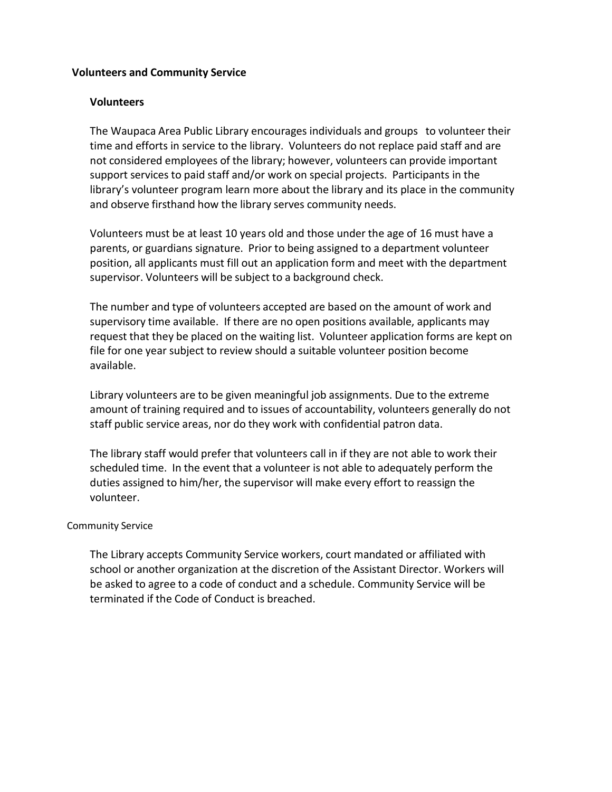## **Volunteers and Community Service**

## **Volunteers**

The Waupaca Area Public Library encourages individuals and groups to volunteer their time and efforts in service to the library. Volunteers do not replace paid staff and are not considered employees of the library; however, volunteers can provide important support services to paid staff and/or work on special projects. Participants in the library's volunteer program learn more about the library and its place in the community and observe firsthand how the library serves community needs.

Volunteers must be at least 10 years old and those under the age of 16 must have a parents, or guardians signature. Prior to being assigned to a department volunteer position, all applicants must fill out an application form and meet with the department supervisor. Volunteers will be subject to a background check.

The number and type of volunteers accepted are based on the amount of work and supervisory time available. If there are no open positions available, applicants may request that they be placed on the waiting list. Volunteer application forms are kept on file for one year subject to review should a suitable volunteer position become available.

Library volunteers are to be given meaningful job assignments. Due to the extreme amount of training required and to issues of accountability, volunteers generally do not staff public service areas, nor do they work with confidential patron data.

The library staff would prefer that volunteers call in if they are not able to work their scheduled time. In the event that a volunteer is not able to adequately perform the duties assigned to him/her, the supervisor will make every effort to reassign the volunteer.

## Community Service

The Library accepts Community Service workers, court mandated or affiliated with school or another organization at the discretion of the Assistant Director. Workers will be asked to agree to a code of conduct and a schedule. Community Service will be terminated if the Code of Conduct is breached.